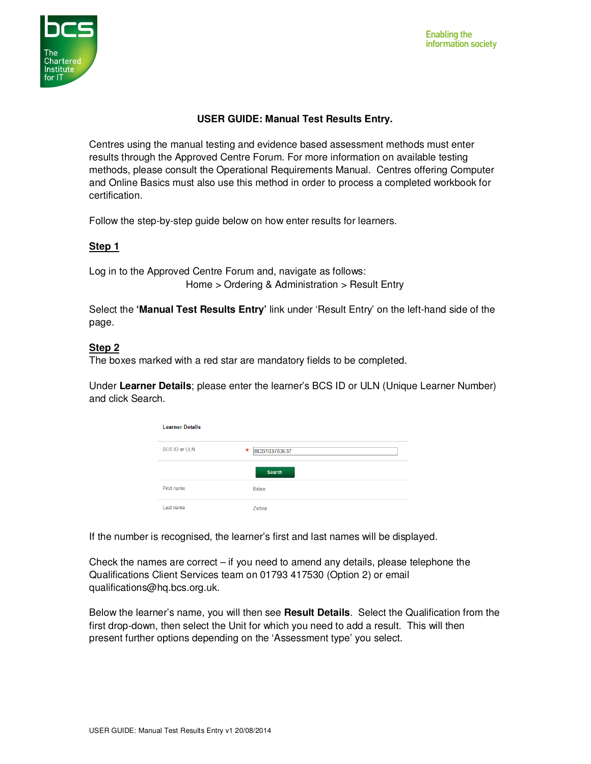

# **USER GUIDE: Manual Test Results Entry.**

Centres using the manual testing and evidence based assessment methods must enter results through the Approved Centre Forum. For more information on available testing methods, please consult the Operational Requirements Manual. Centres offering Computer and Online Basics must also use this method in order to process a completed workbook for certification.

Follow the step-by-step guide below on how enter results for learners.

## **Step 1**

Log in to the Approved Centre Forum and, navigate as follows: Home > Ordering & Administration > Result Entry

Select the **'Manual Test Results Entry'** link under 'Result Entry' on the left-hand side of the page.

## **Step 2**

The boxes marked with a red star are mandatory fields to be completed.

Under **Learner Details**; please enter the learner's BCS ID or ULN (Unique Learner Number) and click Search.

| <b>Learner Details</b> |                    |  |
|------------------------|--------------------|--|
| <b>BCS ID or ULN</b>   | *.<br>BCS103783637 |  |
|                        | Search             |  |
| <b>First name</b>      | <b>Brian</b>       |  |
| Last name              | <b>Zebra</b>       |  |

If the number is recognised, the learner's first and last names will be displayed.

Check the names are correct  $-$  if you need to amend any details, please telephone the Qualifications Client Services team on 01793 417530 (Option 2) or email qualifications@hq.bcs.org.uk.

Below the learner's name, you will then see **Result Details**. Select the Qualification from the first drop-down, then select the Unit for which you need to add a result. This will then present further options depending on the 'Assessment type' you select.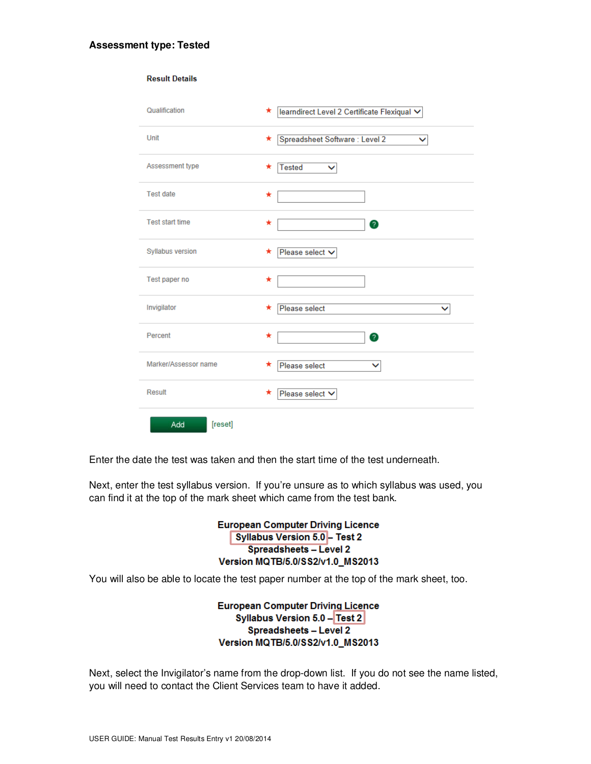### **Assessment type: Tested**

**Result Details** 

| Qualification          | learndirect Level 2 Certificate Flexiqual V<br>$\star$ |
|------------------------|--------------------------------------------------------|
| Unit                   | Spreadsheet Software: Level 2<br>*<br>◡                |
| Assessment type        | <b>Tested</b><br>★<br>$\checkmark$                     |
| <b>Test date</b>       | ★                                                      |
| <b>Test start time</b> | ★<br>Ø                                                 |
| Syllabus version       | Please select V<br>*                                   |
| Test paper no          | *                                                      |
| Invigilator            | Please select<br>*<br>◡                                |
| Percent                | ★<br>2                                                 |
| Marker/Assessor name   | Please select<br>*<br>v                                |
| Result                 | Please select V<br>*                                   |
| [reset]<br>Add         |                                                        |

Enter the date the test was taken and then the start time of the test underneath.

Next, enter the test syllabus version. If you're unsure as to which syllabus was used, you can find it at the top of the mark sheet which came from the test bank.

> **European Computer Driving Licence Syllabus Version 5.0 - Test 2 Spreadsheets - Level 2** Version MQTB/5.0/SS2/v1.0\_MS2013

You will also be able to locate the test paper number at the top of the mark sheet, too.

**European Computer Driving Licence** Syllabus Version 5.0 - Test 2 **Spreadsheets - Level 2** Version MQTB/5.0/SS2/v1.0\_MS2013

Next, select the Invigilator's name from the drop-down list. If you do not see the name listed, you will need to contact the Client Services team to have it added.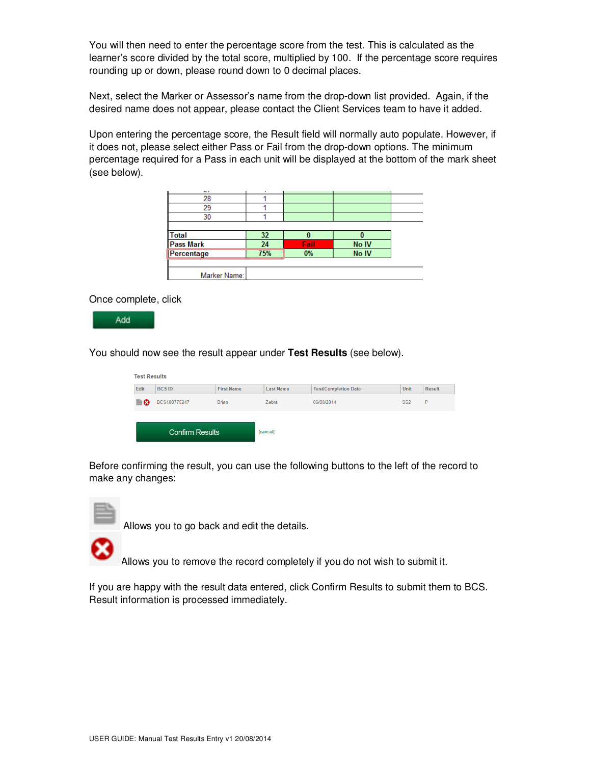You will then need to enter the percentage score from the test. This is calculated as the learner's score divided by the total score, multiplied by 100. If the percentage score requires rounding up or down, please round down to 0 decimal places.

Next, select the Marker or Assessor's name from the drop-down list provided. Again, if the desired name does not appear, please contact the Client Services team to have it added.

Upon entering the percentage score, the Result field will normally auto populate. However, if it does not, please select either Pass or Fail from the drop-down options. The minimum percentage required for a Pass in each unit will be displayed at the bottom of the mark sheet (see below).

| $\sim$           | ٠   |      |       |
|------------------|-----|------|-------|
| 28               |     |      |       |
| 29               |     |      |       |
| 30               |     |      |       |
|                  |     |      |       |
| Total            | 32  |      |       |
| <b>Pass Mark</b> | 24  | Fail | No IV |
| Percentage       | 75% | 0%   | No IV |
|                  |     |      |       |
| Marker Name:     |     |      |       |

Once complete, click

Add

You should now see the result appear under **Test Results** (see below).

| <b>Test Results</b>    |              |                   |                  |                             |                 |               |  |
|------------------------|--------------|-------------------|------------------|-----------------------------|-----------------|---------------|--|
| Edit                   | <b>BCSID</b> | <b>First Name</b> | <b>Last Name</b> | <b>Test/Completion Date</b> | Unit            | <b>Result</b> |  |
| ≣⊗                     | BCS100775247 | <b>Brian</b>      | Zebra            | 06/08/2014                  | SS <sub>2</sub> | P             |  |
| <b>Confirm Results</b> |              |                   | [cancel]         |                             |                 |               |  |

Before confirming the result, you can use the following buttons to the left of the record to make any changes:



Allows you to go back and edit the details.

Allows you to remove the record completely if you do not wish to submit it.

If you are happy with the result data entered, click Confirm Results to submit them to BCS. Result information is processed immediately.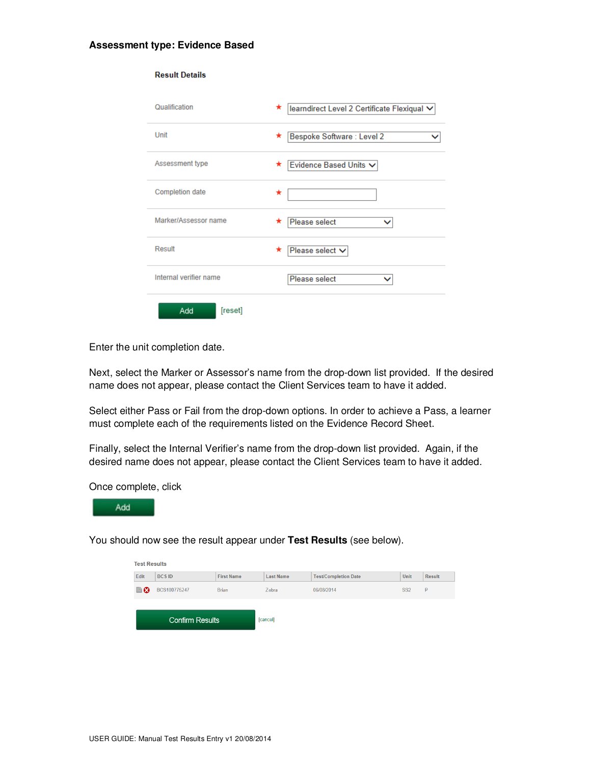#### **Assessment type: Evidence Based**

| <b>Result Details</b>  |                                                  |
|------------------------|--------------------------------------------------|
| Qualification          | *<br>learndirect Level 2 Certificate Flexiqual V |
| Unit                   | Bespoke Software: Level 2<br>*                   |
| Assessment type        | Evidence Based Units V<br>*                      |
| <b>Completion date</b> | ★                                                |
| Marker/Assessor name   | Please select<br>*                               |
| Result                 | Please select V<br>*                             |
| Internal verifier name | Please select                                    |
| [reset]<br>Add         |                                                  |

Enter the unit completion date.

Next, select the Marker or Assessor's name from the drop-down list provided. If the desired name does not appear, please contact the Client Services team to have it added.

Select either Pass or Fail from the drop-down options. In order to achieve a Pass, a learner must complete each of the requirements listed on the Evidence Record Sheet.

Finally, select the Internal Verifier's name from the drop-down list provided. Again, if the desired name does not appear, please contact the Client Services team to have it added.

Once complete, click



You should now see the result appear under **Test Results** (see below).

| <b>Test Results</b>    |              |                   |                  |                             |                 |               |  |  |
|------------------------|--------------|-------------------|------------------|-----------------------------|-----------------|---------------|--|--|
| Edit                   | <b>BCSID</b> | <b>First Name</b> | <b>Last Name</b> | <b>Test/Completion Date</b> | <b>Unit</b>     | <b>Result</b> |  |  |
| В⊗                     | BCS100775247 | <b>Brian</b>      | Zebra            | 06/08/2014                  | SS <sub>2</sub> | P             |  |  |
| <b>Confirm Results</b> |              |                   | [cancel]         |                             |                 |               |  |  |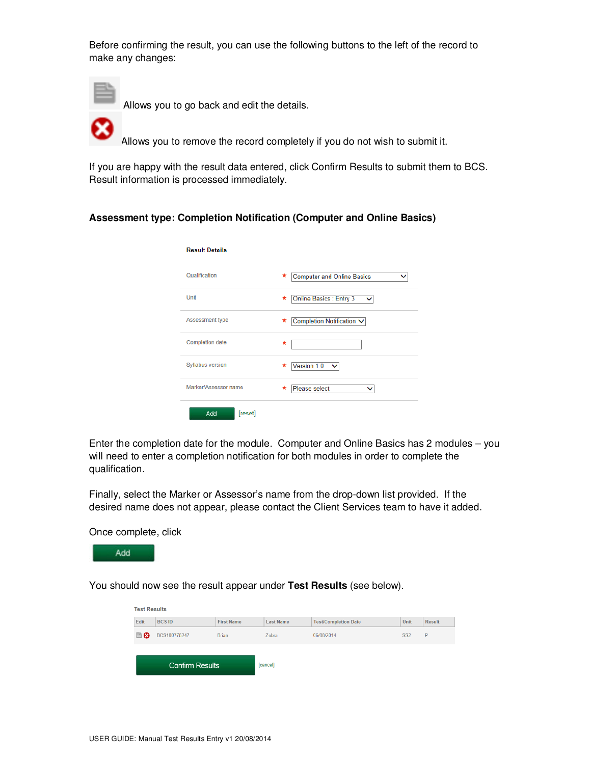Before confirming the result, you can use the following buttons to the left of the record to make any changes:



Allows you to go back and edit the details.

Allows you to remove the record completely if you do not wish to submit it.

If you are happy with the result data entered, click Confirm Results to submit them to BCS. Result information is processed immediately.

### **Assessment type: Completion Notification (Computer and Online Basics)**

| <b>Result Details</b>   |                                              |
|-------------------------|----------------------------------------------|
| Qualification           | <b>Computer and Online Basics</b><br>*       |
| Unit                    | Online Basics : Entry 3<br>*<br>$\checkmark$ |
| Assessment type         | Completion Notification V<br>*               |
| <b>Completion date</b>  | *                                            |
| <b>Syllabus version</b> | Version 1.0<br>*                             |
| Marker/Assessor name    | Please select<br>*                           |
| Add<br>[reset]          |                                              |

Enter the completion date for the module. Computer and Online Basics has 2 modules – you will need to enter a completion notification for both modules in order to complete the qualification.

Finally, select the Marker or Assessor's name from the drop-down list provided. If the desired name does not appear, please contact the Client Services team to have it added.

Once complete, click



You should now see the result appear under **Test Results** (see below).

| <b>Test Results</b>    |              |                   |                  |                             |                 |               |  |  |
|------------------------|--------------|-------------------|------------------|-----------------------------|-----------------|---------------|--|--|
| Edit                   | <b>BCSID</b> | <b>First Name</b> | <b>Last Name</b> | <b>Test/Completion Date</b> | <b>Unit</b>     | <b>Result</b> |  |  |
| В⊗                     | BCS100775247 | <b>Brian</b>      | Zebra            | 06/08/2014                  | SS <sub>2</sub> | P             |  |  |
| <b>Confirm Results</b> |              |                   | [cancel]         |                             |                 |               |  |  |